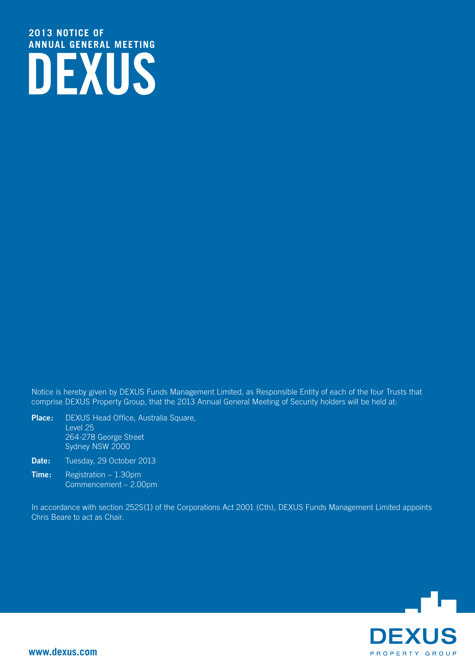# **DEXUS 2013 notice of annual general meeting**

Notice is hereby given by DEXUS Funds Management Limited, as Responsible Entity of each of the four Trusts that comprise DEXUS Property Group, that the 2013 Annual General Meeting of Security holders will be held at:

- **Place:** DEXUS Head Office, Australia Square, Level 25 264-278 George Street Sydney NSW 2000
- Date: Tuesday, 29 October 2013
- **Time:** Registration 1.30pm Commencement – 2.00pm

In accordance with section 252S(1) of the Corporations Act 2001 (Cth), DEXUS Funds Management Limited appoints Chris Beare to act as Chair.

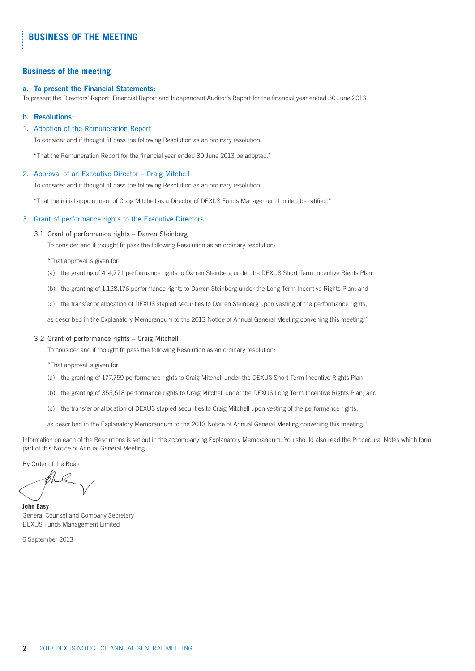### **Business of the meeting**

### **a. To present the Financial Statements:**

To present the Directors' Report, Financial Report and Independent Auditor's Report for the financial year ended 30 June 2013.

### **b. Resolutions:**

### 1. Adoption of the Remuneration Report

To consider and if thought fit pass the following Resolution as an ordinary resolution:

"That the Remuneration Report for the financial year ended 30 June 2013 be adopted."

### 2. Approval of an Executive Director – Craig Mitchell

To consider and if thought fit pass the following Resolution as an ordinary resolution:

"That the initial appointment of Craig Mitchell as a Director of DEXUS Funds Management Limited be ratified."

### 3. Grant of performance rights to the Executive Directors

#### 3.1 Grant of performance rights – Darren Steinberg

To consider and if thought fit pass the following Resolution as an ordinary resolution:

"That approval is given for:

- (a) the granting of 414,771 performance rights to Darren Steinberg under the DEXUS Short Term Incentive Rights Plan;
- (b) the granting of 1,128,176 performance rights to Darren Steinberg under the Long Term Incentive Rights Plan; and
- (c) the transfer or allocation of DEXUS stapled securities to Darren Steinberg upon vesting of the performance rights,

as described in the Explanatory Memorandum to the 2013 Notice of Annual General Meeting convening this meeting."

#### 3.2 Grant of performance rights – Craig Mitchell

To consider and if thought fit pass the following Resolution as an ordinary resolution:

"That approval is given for:

- (a) the granting of 177,759 performance rights to Craig Mitchell under the DEXUS Short Term Incentive Rights Plan;
- (b) the granting of 355,518 performance rights to Craig Mitchell under the DEXUS Long Term Incentive Rights Plan; and
- (c) the transfer or allocation of DEXUS stapled securities to Craig Mitchell upon vesting of the performance rights,

as described in the Explanatory Memorandum to the 2013 Notice of Annual General Meeting convening this meeting."

Information on each of the Resolutions is set out in the accompanying Explanatory Memorandum. You should also read the Procedural Notes which form part of this Notice of Annual General Meeting.

By Order of the Board

**John Easy** General Counsel and Company Secretary DEXUS Funds Management Limited

6 September 2013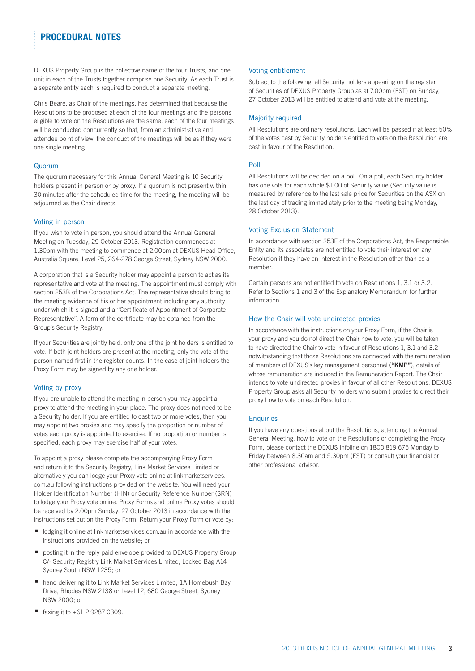# **procedural notes**

DEXUS Property Group is the collective name of the four Trusts, and one unit in each of the Trusts together comprise one Security. As each Trust is a separate entity each is required to conduct a separate meeting.

Chris Beare, as Chair of the meetings, has determined that because the Resolutions to be proposed at each of the four meetings and the persons eligible to vote on the Resolutions are the same, each of the four meetings will be conducted concurrently so that, from an administrative and attendee point of view, the conduct of the meetings will be as if they were one single meeting.

### Quorum

The quorum necessary for this Annual General Meeting is 10 Security holders present in person or by proxy. If a quorum is not present within 30 minutes after the scheduled time for the meeting, the meeting will be adjourned as the Chair directs.

### Voting in person

If you wish to vote in person, you should attend the Annual General Meeting on Tuesday, 29 October 2013. Registration commences at 1.30pm with the meeting to commence at 2.00pm at DEXUS Head Office, Australia Square, Level 25, 264-278 George Street, Sydney NSW 2000.

A corporation that is a Security holder may appoint a person to act as its representative and vote at the meeting. The appointment must comply with section 253B of the Corporations Act. The representative should bring to the meeting evidence of his or her appointment including any authority under which it is signed and a "Certificate of Appointment of Corporate Representative". A form of the certificate may be obtained from the Group's Security Registry.

If your Securities are jointly held, only one of the joint holders is entitled to vote. If both joint holders are present at the meeting, only the vote of the person named first in the register counts. In the case of joint holders the Proxy Form may be signed by any one holder.

### Voting by proxy

If you are unable to attend the meeting in person you may appoint a proxy to attend the meeting in your place. The proxy does not need to be a Security holder. If you are entitled to cast two or more votes, then you may appoint two proxies and may specify the proportion or number of votes each proxy is appointed to exercise. If no proportion or number is specified, each proxy may exercise half of your votes.

To appoint a proxy please complete the accompanying Proxy Form and return it to the Security Registry, Link Market Services Limited or alternatively you can lodge your Proxy vote online at linkmarketservices. com.au following instructions provided on the website. You will need your Holder Identification Number (HIN) or Security Reference Number (SRN) to lodge your Proxy vote online. Proxy Forms and online Proxy votes should be received by 2.00pm Sunday, 27 October 2013 in accordance with the instructions set out on the Proxy Form. Return your Proxy Form or vote by:

- $\blacksquare$  lodging it online at linkmarketservices.com.au in accordance with the instructions provided on the website; or
- posting it in the reply paid envelope provided to DEXUS Property Group C/- Security Registry Link Market Services Limited, Locked Bag A14 Sydney South NSW 1235; or
- hand delivering it to Link Market Services Limited, 1A Homebush Bay Drive, Rhodes NSW 2138 or Level 12, 680 George Street, Sydney NSW 2000; or
- faxing it to  $+61$  2 9287 0309.

### Voting entitlement

Subject to the following, all Security holders appearing on the register of Securities of DEXUS Property Group as at 7.00pm (EST) on Sunday, 27 October 2013 will be entitled to attend and vote at the meeting.

### Majority required

All Resolutions are ordinary resolutions. Each will be passed if at least 50% of the votes cast by Security holders entitled to vote on the Resolution are cast in favour of the Resolution.

### Poll

All Resolutions will be decided on a poll. On a poll, each Security holder has one vote for each whole \$1.00 of Security value (Security value is measured by reference to the last sale price for Securities on the ASX on the last day of trading immediately prior to the meeting being Monday, 28 October 2013).

### Voting Exclusion Statement

In accordance with section 253E of the Corporations Act, the Responsible Entity and its associates are not entitled to vote their interest on any Resolution if they have an interest in the Resolution other than as a member.

Certain persons are not entitled to vote on Resolutions 1, 3.1 or 3.2. Refer to Sections 1 and 3 of the Explanatory Memorandum for further information.

### How the Chair will vote undirected proxies

In accordance with the instructions on your Proxy Form, if the Chair is your proxy and you do not direct the Chair how to vote, you will be taken to have directed the Chair to vote in favour of Resolutions 1, 3.1 and 3.2 notwithstanding that those Resolutions are connected with the remuneration of members of DEXUS's key management personnel (**"KMP"**), details of whose remuneration are included in the Remuneration Report. The Chair intends to vote undirected proxies in favour of all other Resolutions. DEXUS Property Group asks all Security holders who submit proxies to direct their proxy how to vote on each Resolution.

#### **Enquiries**

If you have any questions about the Resolutions, attending the Annual General Meeting, how to vote on the Resolutions or completing the Proxy Form, please contact the DEXUS Infoline on 1800 819 675 Monday to Friday between 8.30am and 5.30pm (EST) or consult your financial or other professional advisor.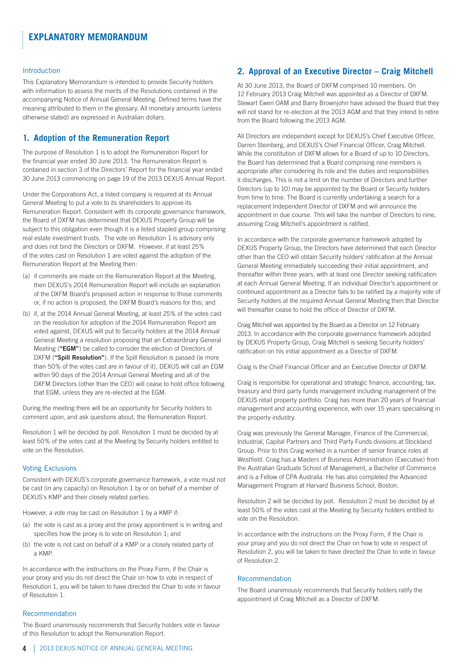#### Introduction

This Explanatory Memorandum is intended to provide Security holders with information to assess the merits of the Resolutions contained in the accompanying Notice of Annual General Meeting. Defined terms have the meaning attributed to them in the glossary. All monetary amounts (unless otherwise stated) are expressed in Australian dollars.

# **1. Adoption of the Remuneration Report**

The purpose of Resolution 1 is to adopt the Remuneration Report for the financial year ended 30 June 2013. The Remuneration Report is contained in section 3 of the Directors' Report for the financial year ended 30 June 2013 commencing on page 19 of the 2013 DEXUS Annual Report.

Under the Corporations Act, a listed company is required at its Annual General Meeting to put a vote to its shareholders to approve its Remuneration Report. Consistent with its corporate governance framework, the Board of DXFM has determined that DEXUS Property Group will be subject to this obligation even though it is a listed stapled group comprising real estate investment trusts. The vote on Resolution 1 is advisory only and does not bind the Directors or DXFM. However, if at least 25% of the votes cast on Resolution 1 are voted against the adoption of the Remuneration Report at the Meeting then:

- (a) if comments are made on the Remuneration Report at the Meeting, then DEXUS's 2014 Remuneration Report will include an explanation of the DXFM Board's proposed action in response to those comments or, if no action is proposed, the DXFM Board's reasons for this; and
- (b) if, at the 2014 Annual General Meeting, at least 25% of the votes cast on the resolution for adoption of the 2014 Remuneration Report are voted against, DEXUS will put to Security holders at the 2014 Annual General Meeting a resolution proposing that an Extraordinary General Meeting (**"EGM"**) be called to consider the election of Directors of DXFM (**"Spill Resolution"**). If the Spill Resolution is passed (ie more than 50% of the votes cast are in favour of it), DEXUS will call an EGM within 90 days of the 2014 Annual General Meeting and all of the DXFM Directors (other than the CEO) will cease to hold office following that EGM, unless they are re-elected at the EGM.

During the meeting there will be an opportunity for Security holders to comment upon, and ask questions about, the Remuneration Report.

Resolution 1 will be decided by poll. Resolution 1 must be decided by at least 50% of the votes cast at the Meeting by Security holders entitled to vote on the Resolution.

### Voting Exclusions

Consistent with DEXUS's corporate governance framework, a vote must not be cast (in any capacity) on Resolution 1 by or on behalf of a member of DEXUS's KMP and their closely related parties.

However, a vote may be cast on Resolution 1 by a KMP if:

- (a) the vote is cast as a proxy and the proxy appointment is in writing and specifies how the proxy is to vote on Resolution 1; and
- (b) the vote is not cast on behalf of a KMP or a closely related party of a KMP.

In accordance with the instructions on the Proxy Form, if the Chair is your proxy and you do not direct the Chair on how to vote in respect of Resolution 1, you will be taken to have directed the Chair to vote in favour of Resolution 1.

### Recommendation

The Board unanimously recommends that Security holders vote in favour of this Resolution to adopt the Remuneration Report.

# **2. Approval of an Executive Director – Craig Mitchell**

At 30 June 2013, the Board of DXFM comprised 10 members. On 12 February 2013 Craig Mitchell was appointed as a Director of DXFM. Stewart Ewen OAM and Barry Brownjohn have advised the Board that they will not stand for re-election at the 2013 AGM and that they intend to retire from the Board following the 2013 AGM.

All Directors are independent except for DEXUS's Chief Executive Officer, Darren Steinberg, and DEXUS's Chief Financial Officer, Craig Mitchell. While the constitution of DXFM allows for a Board of up to 10 Directors, the Board has determined that a Board comprising nine members is appropriate after considering its role and the duties and responsibilities it discharges. This is not a limit on the number of Directors and further Directors (up to 10) may be appointed by the Board or Security holders from time to time. The Board is currently undertaking a search for a replacement Independent Director of DXFM and will announce the appointment in due course. This will take the number of Directors to nine, assuming Craig Mitchell's appointment is ratified.

In accordance with the corporate governance framework adopted by DEXUS Property Group, the Directors have determined that each Director other than the CEO will obtain Security holders' ratification at the Annual General Meeting immediately succeeding their initial appointment, and thereafter within three years, with at least one Director seeking ratification at each Annual General Meeting. If an individual Director's appointment or continued appointment as a Director fails to be ratified by a majority vote of Security holders at the required Annual General Meeting then that Director will thereafter cease to hold the office of Director of DXFM.

Craig Mitchell was appointed by the Board as a Director on 12 February 2013. In accordance with the corporate governance framework adopted by DEXUS Property Group, Craig Mitchell is seeking Security holders' ratification on his initial appointment as a Director of DXFM.

Craig is the Chief Financial Officer and an Executive Director of DXFM.

Craig is responsible for operational and strategic finance, accounting, tax, treasury and third party funds management including management of the DEXUS retail property portfolio. Craig has more than 20 years of financial management and accounting experience, with over 15 years specialising in the property industry.

Craig was previously the General Manager, Finance of the Commercial, Industrial, Capital Partners and Third Party Funds divisions at Stockland Group. Prior to this Craig worked in a number of senior finance roles at Westfield. Craig has a Masters of Business Administration (Executive) from the Australian Graduate School of Management, a Bachelor of Commerce and is a Fellow of CPA Australia. He has also completed the Advanced Management Program at Harvard Business School, Boston.

Resolution 2 will be decided by poll. Resolution 2 must be decided by at least 50% of the votes cast at the Meeting by Security holders entitled to vote on the Resolution.

In accordance with the instructions on the Proxy Form, if the Chair is your proxy and you do not direct the Chair on how to vote in respect of Resolution 2, you will be taken to have directed the Chair to vote in favour of Resolution 2.

### Recommendation

The Board unanimously recommends that Security holders ratify the appointment of Craig Mitchell as a Director of DXFM.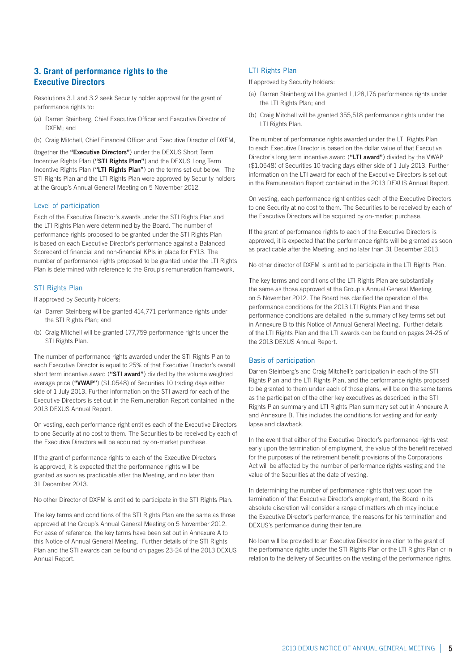### **3. Grant of performance rights to the Executive Directors**

Resolutions 3.1 and 3.2 seek Security holder approval for the grant of performance rights to:

- (a) Darren Steinberg, Chief Executive Officer and Executive Director of DXFM; and
- (b) Craig Mitchell, Chief Financial Officer and Executive Director of DXFM,

(together the **"Executive Directors"**) under the DEXUS Short Term Incentive Rights Plan (**"STI Rights Plan"**) and the DEXUS Long Term Incentive Rights Plan (**"LTI Rights Plan"**) on the terms set out below. The STI Rights Plan and the LTI Rights Plan were approved by Security holders at the Group's Annual General Meeting on 5 November 2012.

### Level of participation

Each of the Executive Director's awards under the STI Rights Plan and the LTI Rights Plan were determined by the Board. The number of performance rights proposed to be granted under the STI Rights Plan is based on each Executive Director's performance against a Balanced Scorecard of financial and non-financial KPIs in place for FY13. The number of performance rights proposed to be granted under the LTI Rights Plan is determined with reference to the Group's remuneration framework.

### STI Rights Plan

If approved by Security holders:

- (a) Darren Steinberg will be granted 414,771 performance rights under the STI Rights Plan; and
- (b) Craig Mitchell will be granted 177,759 performance rights under the STI Rights Plan.

The number of performance rights awarded under the STI Rights Plan to each Executive Director is equal to 25% of that Executive Director's overall short term incentive award (**"STI award"**) divided by the volume weighted average price (**"VWAP"**) (\$1.0548) of Securities 10 trading days either side of 1 July 2013. Further information on the STI award for each of the Executive Directors is set out in the Remuneration Report contained in the 2013 DEXUS Annual Report.

On vesting, each performance right entitles each of the Executive Directors to one Security at no cost to them. The Securities to be received by each of the Executive Directors will be acquired by on-market purchase.

If the grant of performance rights to each of the Executive Directors is approved, it is expected that the performance rights will be granted as soon as practicable after the Meeting, and no later than 31 December 2013.

No other Director of DXFM is entitled to participate in the STI Rights Plan.

The key terms and conditions of the STI Rights Plan are the same as those approved at the Group's Annual General Meeting on 5 November 2012. For ease of reference, the key terms have been set out in Annexure A to this Notice of Annual General Meeting. Further details of the STI Rights Plan and the STI awards can be found on pages 23-24 of the 2013 DEXUS Annual Report.

### LTI Rights Plan

If approved by Security holders:

- (a) Darren Steinberg will be granted 1,128,176 performance rights under the LTI Rights Plan; and
- (b) Craig Mitchell will be granted 355,518 performance rights under the LTI Rights Plan.

The number of performance rights awarded under the LTI Rights Plan to each Executive Director is based on the dollar value of that Executive Director's long term incentive award (**"LTI award"**) divided by the VWAP (\$1.0548) of Securities 10 trading days either side of 1 July 2013. Further information on the LTI award for each of the Executive Directors is set out in the Remuneration Report contained in the 2013 DEXUS Annual Report.

On vesting, each performance right entitles each of the Executive Directors to one Security at no cost to them. The Securities to be received by each of the Executive Directors will be acquired by on-market purchase.

If the grant of performance rights to each of the Executive Directors is approved, it is expected that the performance rights will be granted as soon as practicable after the Meeting, and no later than 31 December 2013.

No other director of DXFM is entitled to participate in the LTI Rights Plan.

The key terms and conditions of the LTI Rights Plan are substantially the same as those approved at the Group's Annual General Meeting on 5 November 2012. The Board has clarified the operation of the performance conditions for the 2013 LTI Rights Plan and these performance conditions are detailed in the summary of key terms set out in Annexure B to this Notice of Annual General Meeting. Further details of the LTI Rights Plan and the LTI awards can be found on pages 24-26 of the 2013 DEXUS Annual Report.

#### Basis of participation

Darren Steinberg's and Craig Mitchell's participation in each of the STI Rights Plan and the LTI Rights Plan, and the performance rights proposed to be granted to them under each of those plans, will be on the same terms as the participation of the other key executives as described in the STI Rights Plan summary and LTI Rights Plan summary set out in Annexure A and Annexure B. This includes the conditions for vesting and for early lapse and clawback.

In the event that either of the Executive Director's performance rights vest early upon the termination of employment, the value of the benefit received for the purposes of the retirement benefit provisions of the Corporations Act will be affected by the number of performance rights vesting and the value of the Securities at the date of vesting.

In determining the number of performance rights that vest upon the termination of that Executive Director's employment, the Board in its absolute discretion will consider a range of matters which may include the Executive Director's performance, the reasons for his termination and DEXUS's performance during their tenure.

No loan will be provided to an Executive Director in relation to the grant of the performance rights under the STI Rights Plan or the LTI Rights Plan or in relation to the delivery of Securities on the vesting of the performance rights.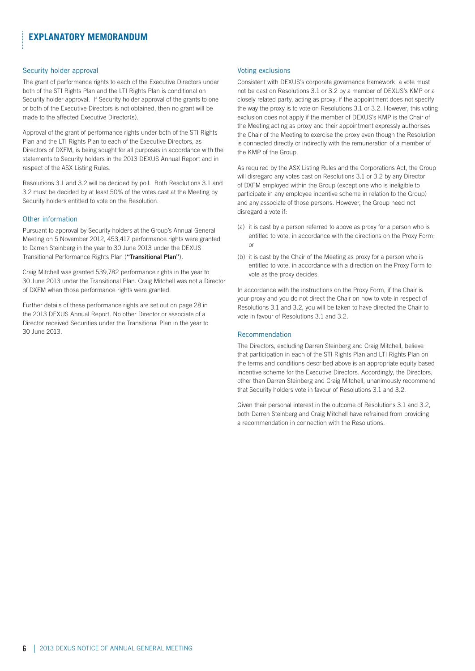# **explanatory memorandum**

### Security holder approval

The grant of performance rights to each of the Executive Directors under both of the STI Rights Plan and the LTI Rights Plan is conditional on Security holder approval. If Security holder approval of the grants to one or both of the Executive Directors is not obtained, then no grant will be made to the affected Executive Director(s).

Approval of the grant of performance rights under both of the STI Rights Plan and the LTI Rights Plan to each of the Executive Directors, as Directors of DXFM, is being sought for all purposes in accordance with the statements to Security holders in the 2013 DEXUS Annual Report and in respect of the ASX Listing Rules.

Resolutions 3.1 and 3.2 will be decided by poll. Both Resolutions 3.1 and 3.2 must be decided by at least 50% of the votes cast at the Meeting by Security holders entitled to vote on the Resolution.

### Other information

Pursuant to approval by Security holders at the Group's Annual General Meeting on 5 November 2012, 453,417 performance rights were granted to Darren Steinberg in the year to 30 June 2013 under the DEXUS Transitional Performance Rights Plan (**"Transitional Plan"**).

Craig Mitchell was granted 539,782 performance rights in the year to 30 June 2013 under the Transitional Plan. Craig Mitchell was not a Director of DXFM when those performance rights were granted.

Further details of these performance rights are set out on page 28 in the 2013 DEXUS Annual Report. No other Director or associate of a Director received Securities under the Transitional Plan in the year to 30 June 2013.

### Voting exclusions

Consistent with DEXUS's corporate governance framework, a vote must not be cast on Resolutions 3.1 or 3.2 by a member of DEXUS's KMP or a closely related party, acting as proxy, if the appointment does not specify the way the proxy is to vote on Resolutions 3.1 or 3.2. However, this voting exclusion does not apply if the member of DEXUS's KMP is the Chair of the Meeting acting as proxy and their appointment expressly authorises the Chair of the Meeting to exercise the proxy even though the Resolution is connected directly or indirectly with the remuneration of a member of the KMP of the Group.

As required by the ASX Listing Rules and the Corporations Act, the Group will disregard any votes cast on Resolutions 3.1 or 3.2 by any Director of DXFM employed within the Group (except one who is ineligible to participate in any employee incentive scheme in relation to the Group) and any associate of those persons. However, the Group need not disregard a vote if:

- (a) it is cast by a person referred to above as proxy for a person who is entitled to vote, in accordance with the directions on the Proxy Form; or
- (b) it is cast by the Chair of the Meeting as proxy for a person who is entitled to vote, in accordance with a direction on the Proxy Form to vote as the proxy decides.

In accordance with the instructions on the Proxy Form, if the Chair is your proxy and you do not direct the Chair on how to vote in respect of Resolutions 3.1 and 3.2, you will be taken to have directed the Chair to vote in favour of Resolutions 3.1 and 3.2.

### Recommendation

The Directors, excluding Darren Steinberg and Craig Mitchell, believe that participation in each of the STI Rights Plan and LTI Rights Plan on the terms and conditions described above is an appropriate equity based incentive scheme for the Executive Directors. Accordingly, the Directors, other than Darren Steinberg and Craig Mitchell, unanimously recommend that Security holders vote in favour of Resolutions 3.1 and 3.2.

Given their personal interest in the outcome of Resolutions 3.1 and 3.2, both Darren Steinberg and Craig Mitchell have refrained from providing a recommendation in connection with the Resolutions.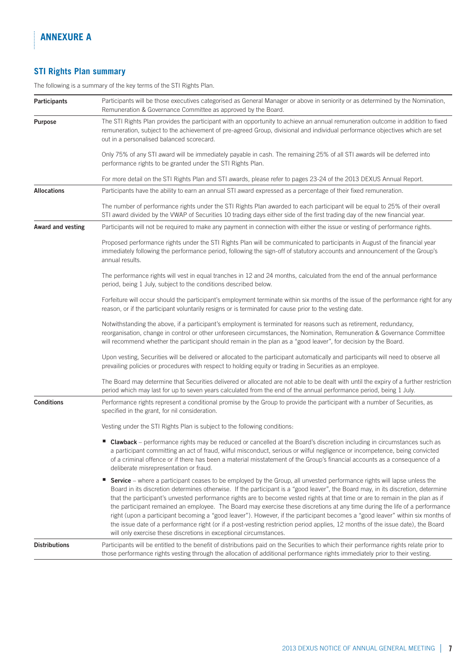Î

# **STI Rights Plan summary**

The following is a summary of the key terms of the STI Rights Plan.

| Participants         | Participants will be those executives categorised as General Manager or above in seniority or as determined by the Nomination,<br>Remuneration & Governance Committee as approved by the Board.                                                                                                                                                                                                                                                                                                                                                                                                                                                                                                                                                                                                                                                                              |  |  |
|----------------------|------------------------------------------------------------------------------------------------------------------------------------------------------------------------------------------------------------------------------------------------------------------------------------------------------------------------------------------------------------------------------------------------------------------------------------------------------------------------------------------------------------------------------------------------------------------------------------------------------------------------------------------------------------------------------------------------------------------------------------------------------------------------------------------------------------------------------------------------------------------------------|--|--|
| Purpose              | The STI Rights Plan provides the participant with an opportunity to achieve an annual remuneration outcome in addition to fixed<br>remuneration, subject to the achievement of pre-agreed Group, divisional and individual performance objectives which are set<br>out in a personalised balanced scorecard.                                                                                                                                                                                                                                                                                                                                                                                                                                                                                                                                                                 |  |  |
|                      | Only 75% of any STI award will be immediately payable in cash. The remaining 25% of all STI awards will be deferred into<br>performance rights to be granted under the STI Rights Plan.                                                                                                                                                                                                                                                                                                                                                                                                                                                                                                                                                                                                                                                                                      |  |  |
|                      | For more detail on the STI Rights Plan and STI awards, please refer to pages 23-24 of the 2013 DEXUS Annual Report.                                                                                                                                                                                                                                                                                                                                                                                                                                                                                                                                                                                                                                                                                                                                                          |  |  |
| <b>Allocations</b>   | Participants have the ability to earn an annual STI award expressed as a percentage of their fixed remuneration.                                                                                                                                                                                                                                                                                                                                                                                                                                                                                                                                                                                                                                                                                                                                                             |  |  |
|                      | The number of performance rights under the STI Rights Plan awarded to each participant will be equal to 25% of their overall<br>STI award divided by the VWAP of Securities 10 trading days either side of the first trading day of the new financial year.                                                                                                                                                                                                                                                                                                                                                                                                                                                                                                                                                                                                                  |  |  |
| Award and vesting    | Participants will not be required to make any payment in connection with either the issue or vesting of performance rights.                                                                                                                                                                                                                                                                                                                                                                                                                                                                                                                                                                                                                                                                                                                                                  |  |  |
|                      | Proposed performance rights under the STI Rights Plan will be communicated to participants in August of the financial year<br>immediately following the performance period, following the sign-off of statutory accounts and announcement of the Group's<br>annual results.                                                                                                                                                                                                                                                                                                                                                                                                                                                                                                                                                                                                  |  |  |
|                      | The performance rights will vest in equal tranches in 12 and 24 months, calculated from the end of the annual performance<br>period, being 1 July, subject to the conditions described below.                                                                                                                                                                                                                                                                                                                                                                                                                                                                                                                                                                                                                                                                                |  |  |
|                      | Forfeiture will occur should the participant's employment terminate within six months of the issue of the performance right for any<br>reason, or if the participant voluntarily resigns or is terminated for cause prior to the vesting date.                                                                                                                                                                                                                                                                                                                                                                                                                                                                                                                                                                                                                               |  |  |
|                      | Notwithstanding the above, if a participant's employment is terminated for reasons such as retirement, redundancy,<br>reorganisation, change in control or other unforeseen circumstances, the Nomination, Remuneration & Governance Committee<br>will recommend whether the participant should remain in the plan as a "good leaver", for decision by the Board.                                                                                                                                                                                                                                                                                                                                                                                                                                                                                                            |  |  |
|                      | Upon vesting, Securities will be delivered or allocated to the participant automatically and participants will need to observe all<br>prevailing policies or procedures with respect to holding equity or trading in Securities as an employee.                                                                                                                                                                                                                                                                                                                                                                                                                                                                                                                                                                                                                              |  |  |
|                      | The Board may determine that Securities delivered or allocated are not able to be dealt with until the expiry of a further restriction<br>period which may last for up to seven years calculated from the end of the annual performance period, being 1 July.                                                                                                                                                                                                                                                                                                                                                                                                                                                                                                                                                                                                                |  |  |
| <b>Conditions</b>    | Performance rights represent a conditional promise by the Group to provide the participant with a number of Securities, as<br>specified in the grant, for nil consideration.                                                                                                                                                                                                                                                                                                                                                                                                                                                                                                                                                                                                                                                                                                 |  |  |
|                      | Vesting under the STI Rights Plan is subject to the following conditions:                                                                                                                                                                                                                                                                                                                                                                                                                                                                                                                                                                                                                                                                                                                                                                                                    |  |  |
|                      | ■ Clawback – performance rights may be reduced or cancelled at the Board's discretion including in circumstances such as<br>a participant committing an act of fraud, wilful misconduct, serious or wilful negligence or incompetence, being convicted<br>of a criminal offence or if there has been a material misstatement of the Group's financial accounts as a consequence of a<br>deliberate misrepresentation or fraud.                                                                                                                                                                                                                                                                                                                                                                                                                                               |  |  |
|                      | Service - where a participant ceases to be employed by the Group, all unvested performance rights will lapse unless the<br>н.<br>Board in its discretion determines otherwise. If the participant is a "good leaver", the Board may, in its discretion, determine<br>that the participant's unvested performance rights are to become vested rights at that time or are to remain in the plan as if<br>the participant remained an employee. The Board may exercise these discretions at any time during the life of a performance<br>right (upon a participant becoming a "good leaver"). However, if the participant becomes a "good leaver" within six months of<br>the issue date of a performance right (or if a post-vesting restriction period applies, 12 months of the issue date), the Board<br>will only exercise these discretions in exceptional circumstances. |  |  |
| <b>Distributions</b> | Participants will be entitled to the benefit of distributions paid on the Securities to which their performance rights relate prior to<br>those performance rights vesting through the allocation of additional performance rights immediately prior to their vesting.                                                                                                                                                                                                                                                                                                                                                                                                                                                                                                                                                                                                       |  |  |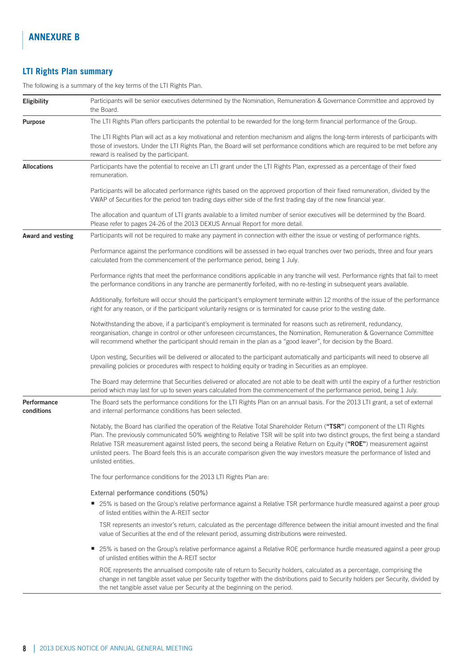ţ.

# **LTI Rights Plan summary**

The following is a summary of the key terms of the LTI Rights Plan.

| <b>Eligibility</b>        | Participants will be senior executives determined by the Nomination, Remuneration & Governance Committee and approved by<br>the Board.                                                                                                                                                                                                                                                                                                                                                                                                             |
|---------------------------|----------------------------------------------------------------------------------------------------------------------------------------------------------------------------------------------------------------------------------------------------------------------------------------------------------------------------------------------------------------------------------------------------------------------------------------------------------------------------------------------------------------------------------------------------|
| Purpose                   | The LTI Rights Plan offers participants the potential to be rewarded for the long-term financial performance of the Group.                                                                                                                                                                                                                                                                                                                                                                                                                         |
|                           | The LTI Rights Plan will act as a key motivational and retention mechanism and aligns the long-term interests of participants with<br>those of investors. Under the LTI Rights Plan, the Board will set performance conditions which are required to be met before any<br>reward is realised by the participant.                                                                                                                                                                                                                                   |
| <b>Allocations</b>        | Participants have the potential to receive an LTI grant under the LTI Rights Plan, expressed as a percentage of their fixed<br>remuneration.                                                                                                                                                                                                                                                                                                                                                                                                       |
|                           | Participants will be allocated performance rights based on the approved proportion of their fixed remuneration, divided by the<br>VWAP of Securities for the period ten trading days either side of the first trading day of the new financial year.                                                                                                                                                                                                                                                                                               |
|                           | The allocation and quantum of LTI grants available to a limited number of senior executives will be determined by the Board.<br>Please refer to pages 24-26 of the 2013 DEXUS Annual Report for more detail.                                                                                                                                                                                                                                                                                                                                       |
| Award and vesting         | Participants will not be required to make any payment in connection with either the issue or vesting of performance rights.                                                                                                                                                                                                                                                                                                                                                                                                                        |
|                           | Performance against the performance conditions will be assessed in two equal tranches over two periods, three and four years<br>calculated from the commencement of the performance period, being 1 July.                                                                                                                                                                                                                                                                                                                                          |
|                           | Performance rights that meet the performance conditions applicable in any tranche will vest. Performance rights that fail to meet<br>the performance conditions in any tranche are permanently forfeited, with no re-testing in subsequent years available.                                                                                                                                                                                                                                                                                        |
|                           | Additionally, forfeiture will occur should the participant's employment terminate within 12 months of the issue of the performance<br>right for any reason, or if the participant voluntarily resigns or is terminated for cause prior to the vesting date.                                                                                                                                                                                                                                                                                        |
|                           | Notwithstanding the above, if a participant's employment is terminated for reasons such as retirement, redundancy,<br>reorganisation, change in control or other unforeseen circumstances, the Nomination, Remuneration & Governance Committee<br>will recommend whether the participant should remain in the plan as a "good leaver", for decision by the Board.                                                                                                                                                                                  |
|                           | Upon vesting, Securities will be delivered or allocated to the participant automatically and participants will need to observe all<br>prevailing policies or procedures with respect to holding equity or trading in Securities as an employee.                                                                                                                                                                                                                                                                                                    |
|                           | The Board may determine that Securities delivered or allocated are not able to be dealt with until the expiry of a further restriction<br>period which may last for up to seven years calculated from the commencement of the performance period, being 1 July.                                                                                                                                                                                                                                                                                    |
| Performance<br>conditions | The Board sets the performance conditions for the LTI Rights Plan on an annual basis. For the 2013 LTI grant, a set of external<br>and internal performance conditions has been selected.                                                                                                                                                                                                                                                                                                                                                          |
|                           | Notably, the Board has clarified the operation of the Relative Total Shareholder Return ("TSR") component of the LTI Rights<br>Plan. The previously communicated 50% weighting to Relative TSR will be split into two distinct groups, the first being a standard<br>Relative TSR measurement against listed peers, the second being a Relative Return on Equity ("ROE") measurement against<br>unlisted peers. The Board feels this is an accurate comparison given the way investors measure the performance of listed and<br>unlisted entities. |
|                           | The four performance conditions for the 2013 LTI Rights Plan are:                                                                                                                                                                                                                                                                                                                                                                                                                                                                                  |
|                           | External performance conditions (50%)                                                                                                                                                                                                                                                                                                                                                                                                                                                                                                              |
|                           | ■ 25% is based on the Group's relative performance against a Relative TSR performance hurdle measured against a peer group<br>of listed entities within the A-REIT sector                                                                                                                                                                                                                                                                                                                                                                          |
|                           | TSR represents an investor's return, calculated as the percentage difference between the initial amount invested and the final<br>value of Securities at the end of the relevant period, assuming distributions were reinvested.                                                                                                                                                                                                                                                                                                                   |
|                           | 25% is based on the Group's relative performance against a Relative ROE performance hurdle measured against a peer group<br>ш<br>of unlisted entities within the A-REIT sector                                                                                                                                                                                                                                                                                                                                                                     |
|                           | ROE represents the annualised composite rate of return to Security holders, calculated as a percentage, comprising the<br>change in net tangible asset value per Security together with the distributions paid to Security holders per Security, divided by<br>the net tangible asset value per Security at the beginning on the period.                                                                                                                                                                                                           |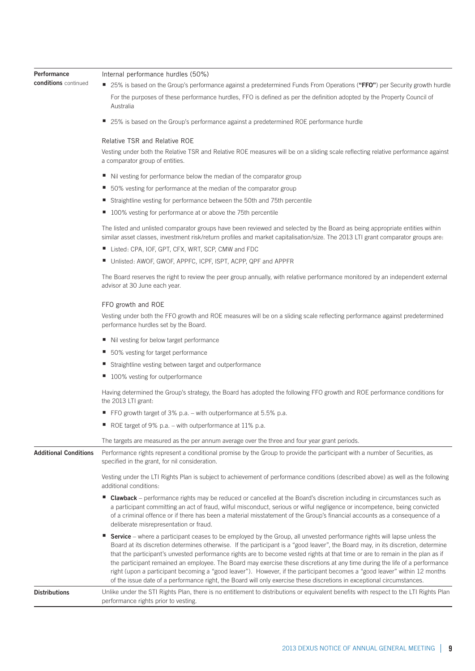| Performance                  | Internal performance hurdles (50%)                                                                                                                                                                                                                                                                                                                                                                                                                                                                                                                                                                                                                                                                                                                                                    |
|------------------------------|---------------------------------------------------------------------------------------------------------------------------------------------------------------------------------------------------------------------------------------------------------------------------------------------------------------------------------------------------------------------------------------------------------------------------------------------------------------------------------------------------------------------------------------------------------------------------------------------------------------------------------------------------------------------------------------------------------------------------------------------------------------------------------------|
| conditions continued         | ■ 25% is based on the Group's performance against a predetermined Funds From Operations ("FFO") per Security growth hurdle                                                                                                                                                                                                                                                                                                                                                                                                                                                                                                                                                                                                                                                            |
|                              | For the purposes of these performance hurdles, FFO is defined as per the definition adopted by the Property Council of<br>Australia                                                                                                                                                                                                                                                                                                                                                                                                                                                                                                                                                                                                                                                   |
|                              | ■ 25% is based on the Group's performance against a predetermined ROE performance hurdle                                                                                                                                                                                                                                                                                                                                                                                                                                                                                                                                                                                                                                                                                              |
|                              | <b>Relative TSR and Relative ROE</b>                                                                                                                                                                                                                                                                                                                                                                                                                                                                                                                                                                                                                                                                                                                                                  |
|                              | Vesting under both the Relative TSR and Relative ROE measures will be on a sliding scale reflecting relative performance against<br>a comparator group of entities.                                                                                                                                                                                                                                                                                                                                                                                                                                                                                                                                                                                                                   |
|                              | ■ Nil vesting for performance below the median of the comparator group                                                                                                                                                                                                                                                                                                                                                                                                                                                                                                                                                                                                                                                                                                                |
|                              | ■ 50% vesting for performance at the median of the comparator group                                                                                                                                                                                                                                                                                                                                                                                                                                                                                                                                                                                                                                                                                                                   |
|                              | Straightline vesting for performance between the 50th and 75th percentile                                                                                                                                                                                                                                                                                                                                                                                                                                                                                                                                                                                                                                                                                                             |
|                              | ■ 100% vesting for performance at or above the 75th percentile                                                                                                                                                                                                                                                                                                                                                                                                                                                                                                                                                                                                                                                                                                                        |
|                              | The listed and unlisted comparator groups have been reviewed and selected by the Board as being appropriate entities within<br>similar asset classes, investment risk/return profiles and market capitalisation/size. The 2013 LTI grant comparator groups are:                                                                                                                                                                                                                                                                                                                                                                                                                                                                                                                       |
|                              | Listed: CPA, IOF, GPT, CFX, WRT, SCP, CMW and FDC                                                                                                                                                                                                                                                                                                                                                                                                                                                                                                                                                                                                                                                                                                                                     |
|                              | Unlisted: AWOF, GWOF, APPFC, ICPF, ISPT, ACPP, QPF and APPFR                                                                                                                                                                                                                                                                                                                                                                                                                                                                                                                                                                                                                                                                                                                          |
|                              | The Board reserves the right to review the peer group annually, with relative performance monitored by an independent external<br>advisor at 30 June each year.                                                                                                                                                                                                                                                                                                                                                                                                                                                                                                                                                                                                                       |
|                              | FFO growth and ROE                                                                                                                                                                                                                                                                                                                                                                                                                                                                                                                                                                                                                                                                                                                                                                    |
|                              | Vesting under both the FFO growth and ROE measures will be on a sliding scale reflecting performance against predetermined<br>performance hurdles set by the Board.                                                                                                                                                                                                                                                                                                                                                                                                                                                                                                                                                                                                                   |
|                              | ■ Nil vesting for below target performance                                                                                                                                                                                                                                                                                                                                                                                                                                                                                                                                                                                                                                                                                                                                            |
|                              | ■ 50% vesting for target performance                                                                                                                                                                                                                                                                                                                                                                                                                                                                                                                                                                                                                                                                                                                                                  |
|                              | Straightline vesting between target and outperformance                                                                                                                                                                                                                                                                                                                                                                                                                                                                                                                                                                                                                                                                                                                                |
|                              | ■ 100% vesting for outperformance                                                                                                                                                                                                                                                                                                                                                                                                                                                                                                                                                                                                                                                                                                                                                     |
|                              | Having determined the Group's strategy, the Board has adopted the following FFO growth and ROE performance conditions for<br>the 2013 LTI grant:                                                                                                                                                                                                                                                                                                                                                                                                                                                                                                                                                                                                                                      |
|                              | ■ FFO growth target of 3% p.a. – with outperformance at 5.5% p.a.                                                                                                                                                                                                                                                                                                                                                                                                                                                                                                                                                                                                                                                                                                                     |
|                              | ROE target of 9% p.a. – with outperformance at 11% p.a.                                                                                                                                                                                                                                                                                                                                                                                                                                                                                                                                                                                                                                                                                                                               |
|                              | The targets are measured as the per annum average over the three and four year grant periods.                                                                                                                                                                                                                                                                                                                                                                                                                                                                                                                                                                                                                                                                                         |
| <b>Additional Conditions</b> | Performance rights represent a conditional promise by the Group to provide the participant with a number of Securities, as<br>specified in the grant, for nil consideration.                                                                                                                                                                                                                                                                                                                                                                                                                                                                                                                                                                                                          |
|                              | Vesting under the LTI Rights Plan is subject to achievement of performance conditions (described above) as well as the following<br>additional conditions:                                                                                                                                                                                                                                                                                                                                                                                                                                                                                                                                                                                                                            |
|                              | ■ Clawback – performance rights may be reduced or cancelled at the Board's discretion including in circumstances such as<br>a participant committing an act of fraud, wilful misconduct, serious or wilful negligence or incompetence, being convicted<br>of a criminal offence or if there has been a material misstatement of the Group's financial accounts as a consequence of a<br>deliberate misrepresentation or fraud.                                                                                                                                                                                                                                                                                                                                                        |
|                              | ■ Service – where a participant ceases to be employed by the Group, all unvested performance rights will lapse unless the<br>Board at its discretion determines otherwise. If the participant is a "good leaver", the Board may, in its discretion, determine<br>that the participant's unvested performance rights are to become vested rights at that time or are to remain in the plan as if<br>the participant remained an employee. The Board may exercise these discretions at any time during the life of a performance<br>right (upon a participant becoming a "good leaver"). However, if the participant becomes a "good leaver" within 12 months<br>of the issue date of a performance right, the Board will only exercise these discretions in exceptional circumstances. |

**Distributions** Unlike under the STI Rights Plan, there is no entitlement to distributions or equivalent benefits with respect to the LTI Rights Plan performance rights prior to vesting.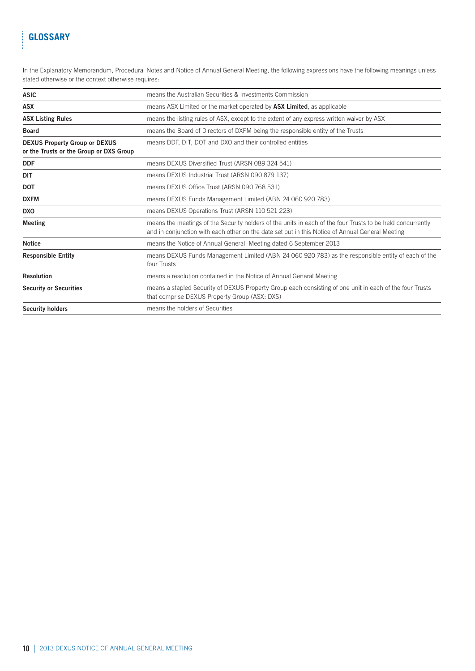# **glossary**

ļ

In the Explanatory Memorandum, Procedural Notes and Notice of Annual General Meeting, the following expressions have the following meanings unless stated otherwise or the context otherwise requires:

| <b>ASIC</b>                                                                     | means the Australian Securities & Investments Commission                                                                                                                                                      |  |
|---------------------------------------------------------------------------------|---------------------------------------------------------------------------------------------------------------------------------------------------------------------------------------------------------------|--|
| <b>ASX</b>                                                                      | means ASX Limited or the market operated by ASX Limited, as applicable                                                                                                                                        |  |
| <b>ASX Listing Rules</b>                                                        | means the listing rules of ASX, except to the extent of any express written waiver by ASX                                                                                                                     |  |
| <b>Board</b>                                                                    | means the Board of Directors of DXFM being the responsible entity of the Trusts                                                                                                                               |  |
| <b>DEXUS Property Group or DEXUS</b><br>or the Trusts or the Group or DXS Group | means DDF, DIT, DOT and DXO and their controlled entities                                                                                                                                                     |  |
| <b>DDF</b>                                                                      | means DEXUS Diversified Trust (ARSN 089 324 541)                                                                                                                                                              |  |
| DIT                                                                             | means DEXUS Industrial Trust (ARSN 090 879 137)                                                                                                                                                               |  |
| <b>DOT</b>                                                                      | means DEXUS Office Trust (ARSN 090 768 531)                                                                                                                                                                   |  |
| <b>DXFM</b>                                                                     | means DEXUS Funds Management Limited (ABN 24 060 920 783)                                                                                                                                                     |  |
| <b>DXO</b>                                                                      | means DEXUS Operations Trust (ARSN 110 521 223)                                                                                                                                                               |  |
| <b>Meeting</b>                                                                  | means the meetings of the Security holders of the units in each of the four Trusts to be held concurrently<br>and in conjunction with each other on the date set out in this Notice of Annual General Meeting |  |
| <b>Notice</b>                                                                   | means the Notice of Annual General Meeting dated 6 September 2013                                                                                                                                             |  |
| <b>Responsible Entity</b>                                                       | means DEXUS Funds Management Limited (ABN 24 060 920 783) as the responsible entity of each of the<br>four Trusts                                                                                             |  |
| Resolution                                                                      | means a resolution contained in the Notice of Annual General Meeting                                                                                                                                          |  |
| <b>Security or Securities</b>                                                   | means a stapled Security of DEXUS Property Group each consisting of one unit in each of the four Trusts<br>that comprise DEXUS Property Group (ASX: DXS)                                                      |  |
| <b>Security holders</b>                                                         | means the holders of Securities                                                                                                                                                                               |  |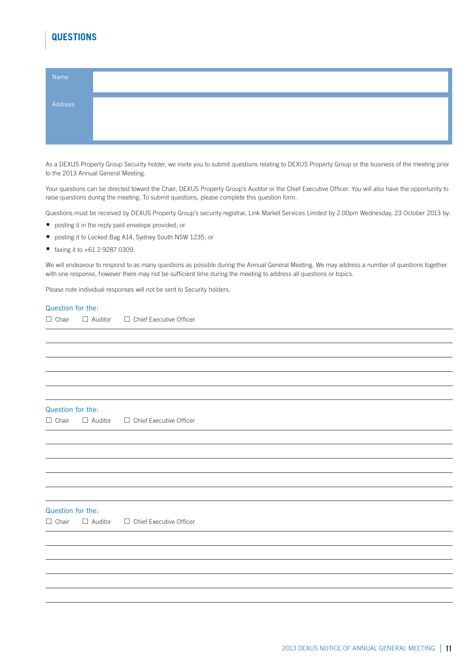# **questions**

| Name    |  |  |
|---------|--|--|
| Address |  |  |
|         |  |  |

As a DEXUS Property Group Security holder, we invite you to submit questions relating to DEXUS Property Group or the business of the meeting prior to the 2013 Annual General Meeting.

Your questions can be directed toward the Chair, DEXUS Property Group's Auditor or the Chief Executive Officer. You will also have the opportunity to raise questions during the meeting. To submit questions, please complete this question form.

Questions must be received by DEXUS Property Group's security registrar, Link Market Services Limited by 2.00pm Wednesday, 23 October 2013 by:

- **posting it in the reply paid envelope provided; or**
- posting it to Locked Bag A14, Sydney South NSW 1235; or
- faxing it to +61 2 9287 0309.

We will endeavour to respond to as many questions as possible during the Annual General Meeting. We may address a number of questions together with one response, however there may not be sufficient time during the meeting to address all questions or topics.

Please note individual responses will not be sent to Security holders.

#### Question for the:

 $\square$  Chair  $\square$  Auditor  $\square$  Chief Executive Officer

#### Question for the:

 $\square$  Chair  $\square$  Auditor  $\square$  Chief Executive Officer

### Question for the:

 $\Box$  Chair  $\Box$  Auditor  $\Box$  Chief Executive Officer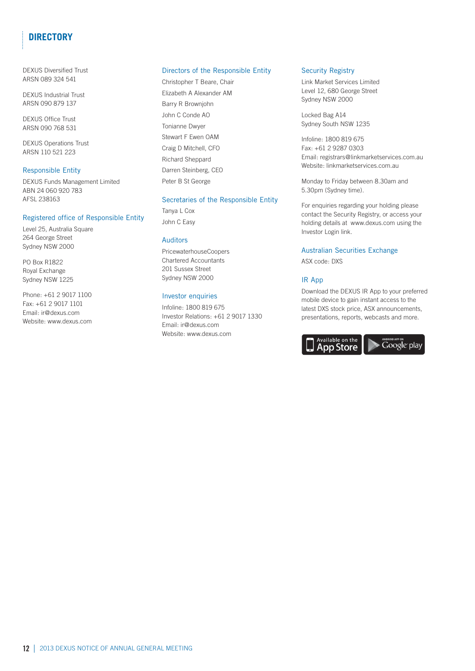# **directory**

DEXUS Diversified Trust ARSN 089 324 541

DEXUS Industrial Trust ARSN 090 879 137

DEXUS Office Trust ARSN 090 768 531

DEXUS Operations Trust ARSN 110 521 223

### Responsible Entity

DEXUS Funds Management Limited ABN 24 060 920 783 AFSL 238163

### Registered office of Responsible Entity

Level 25, Australia Square 264 George Street Sydney NSW 2000

PO Box R1822 Royal Exchange Sydney NSW 1225

Phone: +61 2 9017 1100 Fax: +61 2 9017 1101 Email: ir@dexus.com Website: www.dexus.com

### Directors of the Responsible Entity

Christopher T Beare, Chair Elizabeth A Alexander AM Barry R Brownjohn John C Conde AO Tonianne Dwyer Stewart F Ewen OAM Craig D Mitchell, CFO Richard Sheppard Darren Steinberg, CEO Peter B St George

### Secretaries of the Responsible Entity

Tanya L Cox John C Easy

### Auditors

PricewaterhouseCoopers Chartered Accountants 201 Sussex Street Sydney NSW 2000

### Investor enquiries

Infoline: 1800 819 675 Investor Relations: +61 2 9017 1330 Email: ir@dexus.com Website: www.dexus.com

### Security Registry

Link Market Services Limited Level 12, 680 George Street Sydney NSW 2000

Locked Bag A14 Sydney South NSW 1235

Infoline: 1800 819 675 Fax: +61 2 9287 0303 Email: registrars@linkmarketservices.com.au Website: linkmarketservices.com.au

Monday to Friday between 8.30am and 5.30pm (Sydney time).

For enquiries regarding your holding please contact the Security Registry, or access your holding details at www.dexus.com using the Investor Login link.

### Australian Securities Exchange

ASX code: DXS

### IR App

Download the DEXUS IR App to your preferred mobile device to gain instant access to the latest DXS stock price, ASX announcements, presentations, reports, webcasts and more.

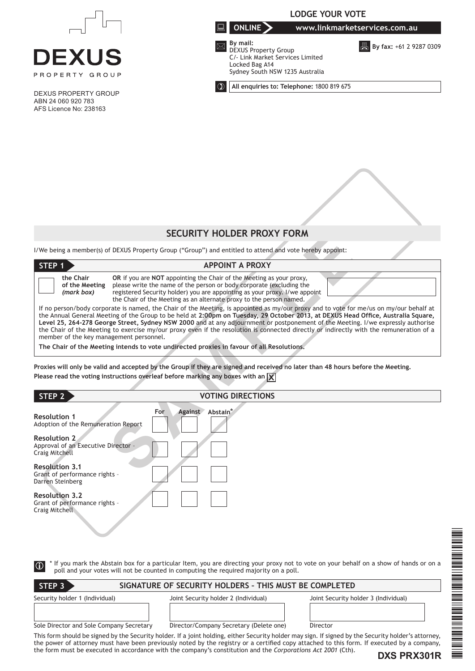

DEXUS PROPERTY GROUP ABN 24 060 920 783 AFS Licence No: 238163



**LODGE YOUR VOTE**

**All enquiries to: Telephone:** 1800 819 675

# **SECURITY HOLDER PROXY FORM**

|                                                                                                                                            | SELURITT HULDER PRUAT FURM                                                                                                                                                                                                                                                                                                                                                                                                                                                                                                                                 |
|--------------------------------------------------------------------------------------------------------------------------------------------|------------------------------------------------------------------------------------------------------------------------------------------------------------------------------------------------------------------------------------------------------------------------------------------------------------------------------------------------------------------------------------------------------------------------------------------------------------------------------------------------------------------------------------------------------------|
|                                                                                                                                            | I/We being a member(s) of DEXUS Property Group ("Group") and entitled to attend and vote hereby appoint:                                                                                                                                                                                                                                                                                                                                                                                                                                                   |
| STEP 1                                                                                                                                     | <b>APPOINT A PROXY</b>                                                                                                                                                                                                                                                                                                                                                                                                                                                                                                                                     |
| the Chair<br>of the Meeting<br>(mark box)                                                                                                  | OR if you are NOT appointing the Chair of the Meeting as your proxy,<br>please write the name of the person or body corporate (excluding the<br>registered Security holder) you are appointing as your proxy. I/we appoint<br>the Chair of the Meeting as an alternate proxy to the person named.                                                                                                                                                                                                                                                          |
| member of the key management personnel.                                                                                                    | If no person/body corporate is named, the Chair of the Meeting, is appointed as my/our proxy and to vote for me/us on my/our behalf at<br>the Annual General Meeting of the Group to be held at 2:00pm on Tuesday, 29 October 2013, at DEXUS Head Office, Australia Square,<br>Level 25, 264-278 George Street, Sydney NSW 2000 and at any adjournment or postponement of the Meeting. I/we expressly authorise<br>the Chair of the Meeting to exercise my/our proxy even if the resolution is connected directly or indirectly with the remuneration of a |
|                                                                                                                                            | The Chair of the Meeting intends to vote undirected proxies in favour of all Resolutions.                                                                                                                                                                                                                                                                                                                                                                                                                                                                  |
|                                                                                                                                            | Proxies will only be valid and accepted by the Group if they are signed and received no later than 48 hours before the Meeting.<br>Please read the voting instructions overleaf before marking any boxes with an $\chi$                                                                                                                                                                                                                                                                                                                                    |
| STEP 2                                                                                                                                     | <b>VOTING DIRECTIONS</b>                                                                                                                                                                                                                                                                                                                                                                                                                                                                                                                                   |
| <b>Resolution 1</b><br>Adoption of the Remuneration Report<br><b>Resolution 2</b><br>Approval of an Executive Director -<br>Craig Mitchell | For<br><b>Against</b><br>Abstain <sup>*</sup>                                                                                                                                                                                                                                                                                                                                                                                                                                                                                                              |
| <b>Resolution 3.1</b><br>Cropt of porformance rights                                                                                       |                                                                                                                                                                                                                                                                                                                                                                                                                                                                                                                                                            |

### **STEP 2 VOTING DIRECTIONS**

| <b>Resolution 1</b><br>Adoption of the Remuneration Report                          | For | <b>Against</b> | Abstain <sup>*</sup> |
|-------------------------------------------------------------------------------------|-----|----------------|----------------------|
| <b>Resolution 2</b><br>Approval of an Executive Director -<br><b>Craig Mitchell</b> |     |                |                      |
| <b>Resolution 3.1</b><br>Grant of performance rights -<br>Darren Steinberg          |     |                |                      |
| <b>Resolution 3.2</b><br>Grant of performance rights -<br>Craig Mitchell            |     |                |                      |

 $\left($  (i)

**STEP 3** \* If you mark the Abstain box for a particular Item, you are directing your proxy not to vote on your behalf on a show of hands or on a poll and your votes will not be counted in computing the required majority on a poll.

| l STEP 3                                 | SIGNATURE OF SECURITY HOLDERS - THIS MUST BE COMPLETED |                                      |  |
|------------------------------------------|--------------------------------------------------------|--------------------------------------|--|
| Security holder 1 (Individual)           | Joint Security holder 2 (Individual)                   | Joint Security holder 3 (Individual) |  |
| Sole Director and Sole Company Secretary | Director/Company Secretary (Delete one)                | Director                             |  |

This form should be signed by the Security holder. If a joint holding, either Security holder may sign. If signed by the Security holder's attorney, the power of attorney must have been previously noted by the registry or a certified copy attached to this form. If executed by a company, the form must be executed in accordance with the company's constitution and the *Corporations Act 2001* (Cth).

**DXS PRX301R**

 $\equiv$